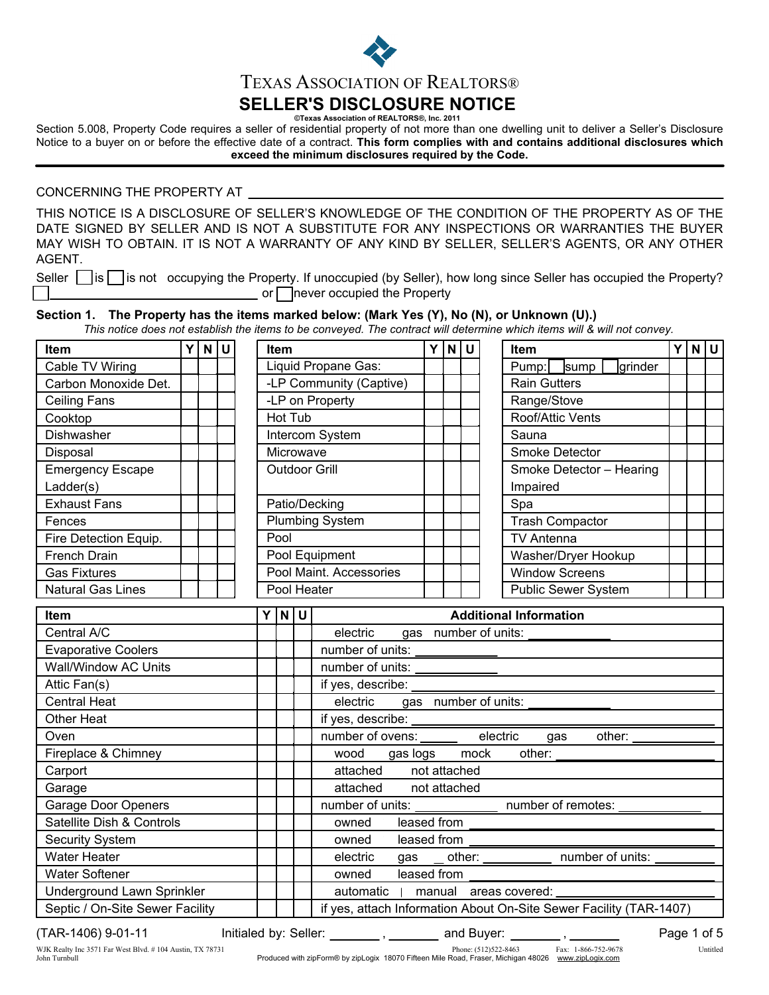

# TEXAS ASSOCIATION OF REALTORS®

#### **SELLER'S DISCLOSURE NOTICE ©Texas Association of REALTORS®, Inc. 2011**

Section 5.008, Property Code requires a seller of residential property of not more than one dwelling unit to deliver a Seller's Disclosure Notice to a buyer on or before the effective date of a contract. **This form complies with and contains additional disclosures which exceed the minimum disclosures required by the Code.**

# CONCERNING THE PROPERTY AT

THIS NOTICE IS A DISCLOSURE OF SELLER'S KNOWLEDGE OF THE CONDITION OF THE PROPERTY AS OF THE MAY WISH TO OBTAIN. IT IS NOT A WARRANTY OF ANY KIND BY SELLER, SELLER'S AGENTS, OR ANY OTHER AGENT. DATE SIGNED BY SELLER AND IS NOT A SUBSTITUTE FOR ANY INSPECTIONS OR WARRANTIES THE BUYER

Seller | is | is not occupying the Property. If unoccupied (by Seller), how long since Seller has occupied the Property?  $\Box$  or  $\Box$  never occupied the Property

# **The Property has the items marked below: (Mark Yes (Y), No (N), or Unknown (U).) Section 1.**

*This notice does not establish the items to be conveyed. The contract will determine which items will & will not convey.*

| <b>Item</b>              | YNU |  | <b>Item</b>             |  | YNU |  | <b>Item</b>                | Υ | NU |  |
|--------------------------|-----|--|-------------------------|--|-----|--|----------------------------|---|----|--|
| Cable TV Wiring          |     |  | Liquid Propane Gas:     |  |     |  | grinder<br>Pump:<br>sump   |   |    |  |
| Carbon Monoxide Det.     |     |  | -LP Community (Captive) |  |     |  | <b>Rain Gutters</b>        |   |    |  |
| Ceiling Fans             |     |  | -LP on Property         |  |     |  | Range/Stove                |   |    |  |
| Cooktop                  |     |  | Hot Tub                 |  |     |  | Roof/Attic Vents           |   |    |  |
| <b>Dishwasher</b>        |     |  | Intercom System         |  |     |  | Sauna                      |   |    |  |
| Disposal                 |     |  | Microwave               |  |     |  | Smoke Detector             |   |    |  |
| <b>Emergency Escape</b>  |     |  | <b>Outdoor Grill</b>    |  |     |  | Smoke Detector - Hearing   |   |    |  |
| Ladder(s)                |     |  |                         |  |     |  | Impaired                   |   |    |  |
| <b>Exhaust Fans</b>      |     |  | Patio/Decking           |  |     |  | Spa                        |   |    |  |
| Fences                   |     |  | <b>Plumbing System</b>  |  |     |  | <b>Trash Compactor</b>     |   |    |  |
| Fire Detection Equip.    |     |  | Pool                    |  |     |  | <b>TV Antenna</b>          |   |    |  |
| French Drain             |     |  | Pool Equipment          |  |     |  | Washer/Dryer Hookup        |   |    |  |
| <b>Gas Fixtures</b>      |     |  | Pool Maint. Accessories |  |     |  | <b>Window Screens</b>      |   |    |  |
| <b>Natural Gas Lines</b> |     |  | Pool Heater             |  |     |  | <b>Public Sewer System</b> |   |    |  |

| ltem                            | YNU | <b>Additional Information</b>                                      |
|---------------------------------|-----|--------------------------------------------------------------------|
| Central A/C                     |     | electric gas number of units:                                      |
| <b>Evaporative Coolers</b>      |     | number of units:                                                   |
| Wall/Window AC Units            |     |                                                                    |
| Attic Fan(s)                    |     |                                                                    |
| Central Heat                    |     | electric gas number of units:                                      |
| <b>Other Heat</b>               |     |                                                                    |
| Oven                            |     | number of ovens: _______ electric gas<br>other: $\_\_$             |
| Fireplace & Chimney             |     | wood gas logs mock other:                                          |
| Carport                         |     | attached not attached                                              |
| Garage                          |     | attached not attached                                              |
| <b>Garage Door Openers</b>      |     | number of units: _________________ number of remotes: _________    |
| Satellite Dish & Controls       |     | leased from<br>owned                                               |
| <b>Security System</b>          |     | leased from _______________<br>owned                               |
| Water Heater                    |     | electric gas _ other: ____________ number of units: _              |
| <b>Water Softener</b>           |     | leased from<br>owned                                               |
| Underground Lawn Sprinkler      |     | automatic manual areas covered: ______________                     |
| Septic / On-Site Sewer Facility |     | if yes, attach Information About On-Site Sewer Facility (TAR-1407) |

 $(TAR-1406)$  9-01-11 Initialed by: Seller:  $\frac{1}{1-\frac{1}{2}}$ ,  $\frac{1}{2-\frac{1}{2}}$  and Buyer:  $\frac{1}{2-\frac{1}{2}}$  Page 1 of 5

WJK Realty Inc 3571 Far West Blvd. # 104 Austin, TX 78731 [512] [512] [512] [512] Phone: (512)522-8463 1-812. 1-866-752-9678 Untitled

John Turnbull

Phone: (512)522-8463 Fax: 1-866-752-9678 Produced with zipForm® by zipLogix 18070 Fifteen Mile Road, Fraser, Michigan 48026 www.zipLogix.com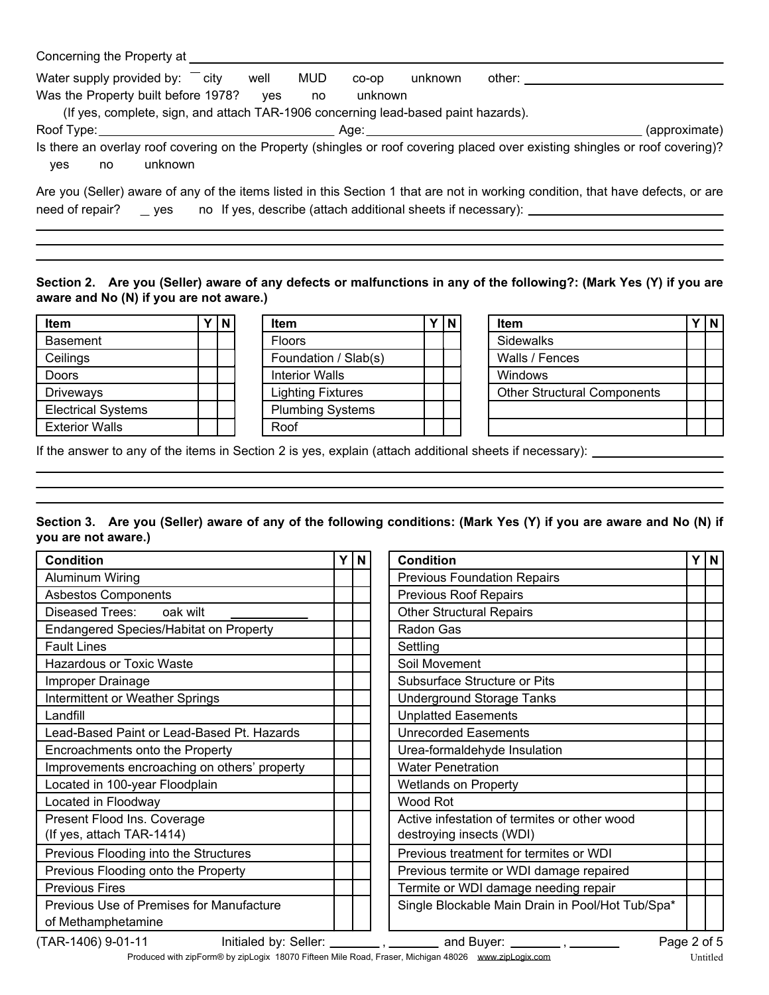| Concerning the Property at <b>Concerning</b> the Property at                                                                                                                                                         |                    |                             |                                                                                                                               |  |  |
|----------------------------------------------------------------------------------------------------------------------------------------------------------------------------------------------------------------------|--------------------|-----------------------------|-------------------------------------------------------------------------------------------------------------------------------|--|--|
| Water supply provided by: city<br>Was the Property built before 1978? yes                                                                                                                                            | well<br>MUD.<br>no | unknown<br>CO-OD<br>unknown | other: _______________________                                                                                                |  |  |
| (If yes, complete, sign, and attach TAR-1906 concerning lead-based paint hazards).                                                                                                                                   |                    |                             |                                                                                                                               |  |  |
|                                                                                                                                                                                                                      |                    |                             | (approximate)                                                                                                                 |  |  |
| unknown<br>yes<br>no.                                                                                                                                                                                                |                    |                             | Is there an overlay roof covering on the Property (shingles or roof covering placed over existing shingles or roof covering)? |  |  |
| Are you (Seller) aware of any of the items listed in this Section 1 that are not in working condition, that have defects, or are<br>need of repair? yes no If yes, describe (attach additional sheets if necessary): |                    |                             |                                                                                                                               |  |  |
|                                                                                                                                                                                                                      |                    |                             |                                                                                                                               |  |  |

# **Are you (Seller) aware of any defects or malfunctions in any of the following?: (Mark Yes (Y) if you are Section 2. aware and No (N) if you are not aware.)**

| <b>Item</b>               |  |
|---------------------------|--|
| <b>Basement</b>           |  |
| Ceilings                  |  |
| Doors                     |  |
| <b>Driveways</b>          |  |
| <b>Electrical Systems</b> |  |
| <b>Exterior Walls</b>     |  |

|  | <b>Item</b>              |  |
|--|--------------------------|--|
|  | <b>Floors</b>            |  |
|  | Foundation / Slab(s)     |  |
|  | <b>Interior Walls</b>    |  |
|  | <b>Lighting Fixtures</b> |  |
|  | <b>Plumbing Systems</b>  |  |
|  | Roof                     |  |

| Item                               |  |
|------------------------------------|--|
| Sidewalks                          |  |
| Walls / Fences                     |  |
| <b>Windows</b>                     |  |
| <b>Other Structural Components</b> |  |
|                                    |  |
|                                    |  |

If the answer to any of the items in Section 2 is yes, explain (attach additional sheets if necessary): \_

# **Section 3. Are you (Seller) aware of any of the following conditions: (Mark Yes (Y) if you are aware and No (N) if you are not aware.)**

| <b>Condition</b>                                         | Y. | $\mathbf N$ | <b>Condition</b>                                                         | Y | N |
|----------------------------------------------------------|----|-------------|--------------------------------------------------------------------------|---|---|
| Aluminum Wiring                                          |    |             | <b>Previous Foundation Repairs</b>                                       |   |   |
| <b>Asbestos Components</b>                               |    |             | Previous Roof Repairs                                                    |   |   |
| Diseased Trees:<br>oak wilt                              |    |             | <b>Other Structural Repairs</b>                                          |   |   |
| Endangered Species/Habitat on Property                   |    |             | Radon Gas                                                                |   |   |
| <b>Fault Lines</b>                                       |    |             | Settling                                                                 |   |   |
| <b>Hazardous or Toxic Waste</b>                          |    |             | Soil Movement                                                            |   |   |
| Improper Drainage                                        |    |             | Subsurface Structure or Pits                                             |   |   |
| Intermittent or Weather Springs                          |    |             | <b>Underground Storage Tanks</b>                                         |   |   |
| Landfill                                                 |    |             | <b>Unplatted Easements</b>                                               |   |   |
| Lead-Based Paint or Lead-Based Pt. Hazards               |    |             | <b>Unrecorded Easements</b>                                              |   |   |
| Encroachments onto the Property                          |    |             | Urea-formaldehyde Insulation                                             |   |   |
| Improvements encroaching on others' property             |    |             | <b>Water Penetration</b>                                                 |   |   |
| Located in 100-year Floodplain                           |    |             | <b>Wetlands on Property</b>                                              |   |   |
| Located in Floodway                                      |    |             | Wood Rot                                                                 |   |   |
| Present Flood Ins. Coverage<br>(If yes, attach TAR-1414) |    |             | Active infestation of termites or other wood<br>destroying insects (WDI) |   |   |
| Previous Flooding into the Structures                    |    |             | Previous treatment for termites or WDI                                   |   |   |
| Previous Flooding onto the Property                      |    |             | Previous termite or WDI damage repaired                                  |   |   |
| <b>Previous Fires</b>                                    |    |             | Termite or WDI damage needing repair                                     |   |   |
| <b>Previous Use of Premises for Manufacture</b>          |    |             | Single Blockable Main Drain in Pool/Hot Tub/Spa*                         |   |   |
| of Methamphetamine                                       |    |             |                                                                          |   |   |
| $(TAD, 4AOC)$ $AAA$<br>Initialad hu Callar               |    |             | $\sim$ $\sim$ $\sim$ $\sim$ $\sim$ $\sim$                                |   |   |

 $(TAR-1406) 9-01-11$  Initialed by: Seller:  $\frac{1}{1-\frac{1}{2}}$ ,  $\frac{1}{2-\frac{1}{2}}$  and Buyer:  $\frac{1}{2-\frac{1}{2}}$  Page 2 of 5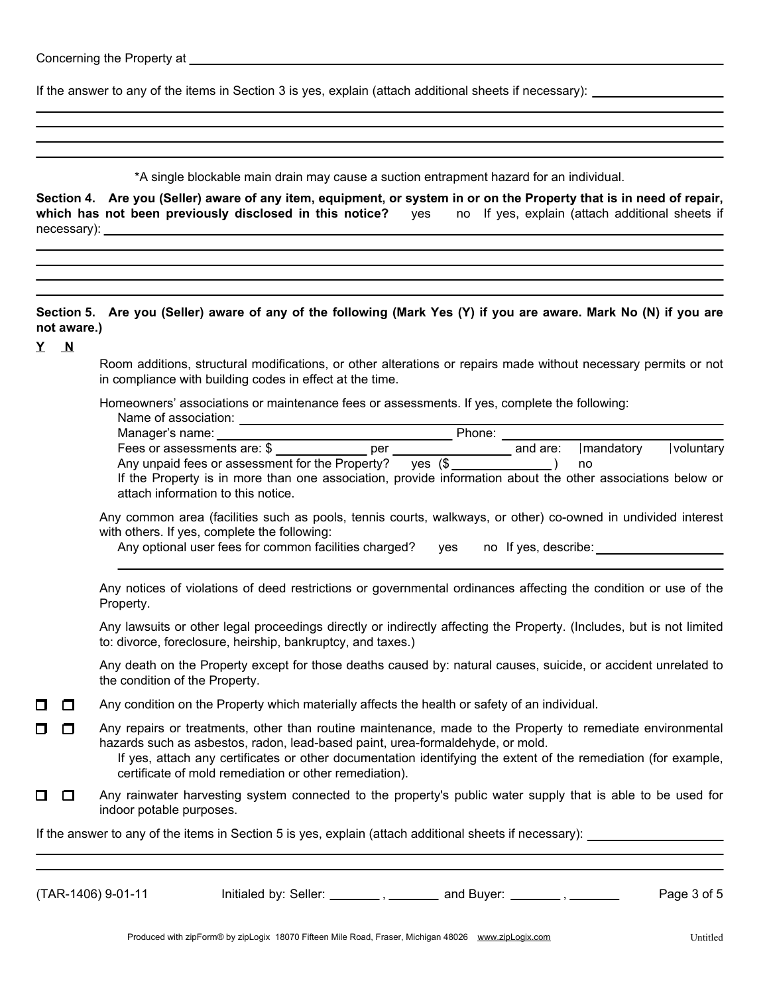Concerning the Property at

If the answer to any of the items in Section 3 is yes, explain (attach additional sheets if necessary):

\*A single blockable main drain may cause a suction entrapment hazard for an individual.

**Are you (Seller) aware of any item, equipment, or system in or on the Property that is in need of repair, Section 4. which has not been previously disclosed in this notice?** yes no If yes, explain (attach additional sheets if necessary):

# **Section 5. Are you (Seller) aware of any of the following (Mark Yes (Y) if you are aware. Mark No (N) if you are not aware.)**

# **Y N**

Room additions, structural modifications, or other alterations or repairs made without necessary permits or not in compliance with building codes in effect at the time.

Homeowners' associations or maintenance fees or assessments. If yes, complete the following:

Name of association:

| Manager's name:                                 | Phone:  |          |                    |           |
|-------------------------------------------------|---------|----------|--------------------|-----------|
| Fees or assessments are: \$<br>per              |         | and are: | <b>I</b> mandatory | voluntary |
| Any unpaid fees or assessment for the Property? | ves (S) |          | nc                 |           |

If the Property is in more than one association, provide information about the other associations below or attach information to this notice.

Any common area (facilities such as pools, tennis courts, walkways, or other) co-owned in undivided interest with others. If yes, complete the following:

Any optional user fees for common facilities charged? yes no If yes, describe:

Any notices of violations of deed restrictions or governmental ordinances affecting the condition or use of the Property.

Any lawsuits or other legal proceedings directly or indirectly affecting the Property. (Includes, but is not limited to: divorce, foreclosure, heirship, bankruptcy, and taxes.)

Any death on the Property except for those deaths caused by: natural causes, suicide, or accident unrelated to the condition of the Property.

#### Any condition on the Property which materially affects the health or safety of an individual. П.  $\Box$

- $\Box$ Any repairs or treatments, other than routine maintenance, made to the Property to remediate environmental  $\Box$ hazards such as asbestos, radon, lead-based paint, urea-formaldehyde, or mold.
	- If yes, attach any certificates or other documentation identifying the extent of the remediation (for example, certificate of mold remediation or other remediation).
- Any rainwater harvesting system connected to the property's public water supply that is able to be used for  $\Box$   $\Box$ indoor potable purposes.

If the answer to any of the items in Section 5 is yes, explain (attach additional sheets if necessary):

 $(TAR-1406)$  9-01-11 Initialed by: Seller:  $\frac{1}{1-\frac{1}{2}}$ ,  $\frac{1}{2-\frac{1}{2}}$  and Buyer:  $\frac{1}{2-\frac{1}{2}-\frac{1}{2}}$  Page 3 of 5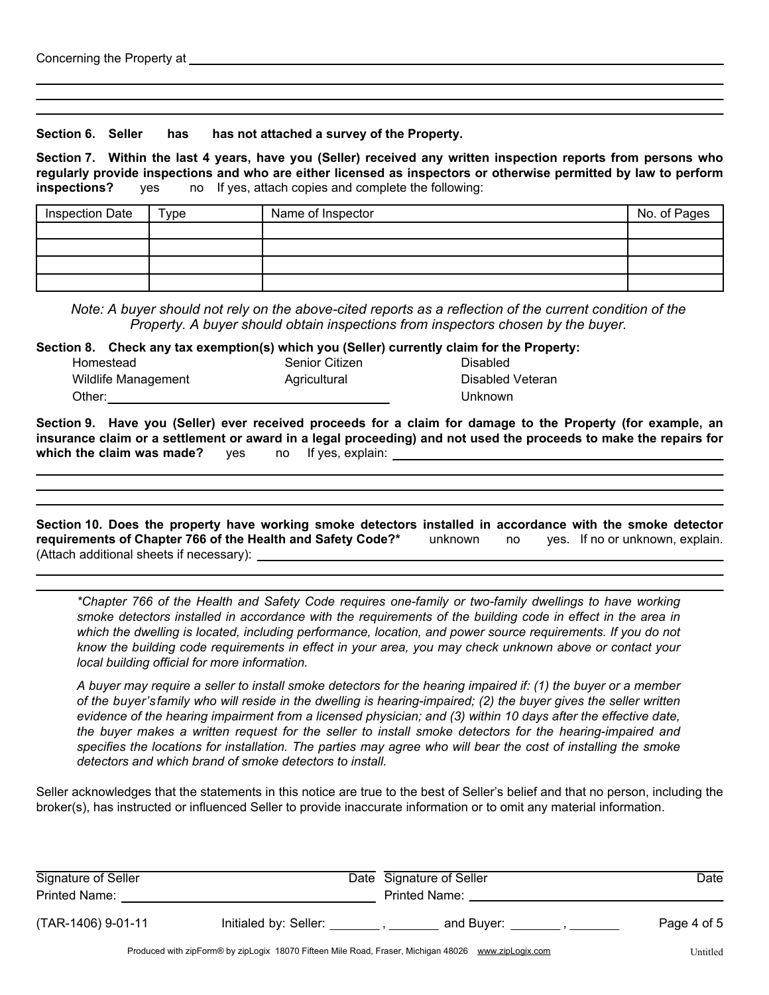**Section 6. Seller has has not attached a survey of the Property.**

**Within the last 4 years, have you (Seller) received any written inspection reports from persons who Section 7. regularly provide inspections and who are either licensed as inspectors or otherwise permitted by law to perform inspections?** yes no If yes, attach copies and complete the following:

| <b>Inspection Date</b> | Type | Name of Inspector | No. of Pages |
|------------------------|------|-------------------|--------------|
|                        |      |                   |              |
|                        |      |                   |              |
|                        |      |                   |              |
|                        |      |                   |              |

*Note: A buyer should not rely on the above-cited reports as a reflection of the current condition of the Property. A buyer should obtain inspections from inspectors chosen by the buyer.*

**Section 8. Check any tax exemption(s) which you (Seller) currently claim for the Property:**

| Homestead                  | Senior Citizen | Disabled         |
|----------------------------|----------------|------------------|
| <b>Wildlife Management</b> | Agricultural   | Disabled Veteran |
| Other:                     |                | Unknown          |
|                            |                |                  |

**Section 9. Have you (Seller) ever received proceeds for a claim for damage to the Property (for example, an insurance claim or a settlement or award in a legal proceeding) and not used the proceeds to make the repairs for which the claim was made?** yes no If yes, explain:

**Section 10. Does the property have working smoke detectors installed in accordance with the smoke detector** requirements of Chapter 766 of the Health and Safety Code?\* unknown no yes. If no or unknown, explain. (Attach additional sheets if necessary):

*\*Chapter 766 of the Health and Safety Code requires one-family or two-family dwellings to have working smoke detectors installed in accordance with the requirements of the building code in effect in the area in which the dwelling is located, including performance, location, and power source requirements. If you do not know the building code requirements in effect in your area, you may check unknown above or contact your local building official for more information.*

*A buyer may require a seller to install smoke detectors for the hearing impaired if: (1) the buyer or a member of the buyer's family who will reside in the dwelling is hearing-impaired; (2) the buyer gives the seller written evidence of the hearing impairment from a licensed physician; and (3) within 10 days after the effective date, the buyer makes a written request for the seller to install smoke detectors for the hearing-impaired and specifies the locations for installation. The parties may agree who will bear the cost of installing the smoke detectors and which brand of smoke detectors to install.*

Seller acknowledges that the statements in this notice are true to the best of Seller's belief and that no person, including the broker(s), has instructed or influenced Seller to provide inaccurate information or to omit any material information.

| Signature of Seller<br><b>Printed Name:</b> |                                                                                                     | Date Signature of Seller<br>Printed Name: | Date        |
|---------------------------------------------|-----------------------------------------------------------------------------------------------------|-------------------------------------------|-------------|
| (TAR-1406) 9-01-11                          | Initialed by: Seller:                                                                               | and Buver:                                | Page 4 of 5 |
|                                             | Produced with zipForm® by zipLogix 18070 Fifteen Mile Road, Fraser, Michigan 48026 www.zipLogix.com |                                           | Untitled    |